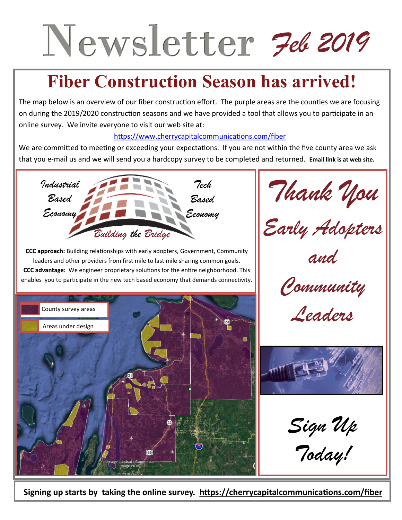# Newsletter 7el 2019

## **Fiber Construction Season has arrived!**

The map below is an overview of our fiber construction effort. The purple areas are the counties we are focusing on during the 2019/2020 construction seasons and we have provided a tool that allows you to participate in an online survey. We invite everyone to visit our web site at:

## [https://www.cherrycapitalcommunications.com/fiber](https://cherrycapitalcommunications.com/fiber)

We are committed to meeting or exceeding your expectations. If you are not within the five county area we ask that you e-mail us and we will send you a hardcopy survey to be completed and returned. **Email link is at web site.**



**CCC approach:** Building relationships with early adopters, Government, Community leaders and other providers from first mile to last mile sharing common goals. **CCC advantage:** We engineer proprietary solutions for the entire neighborhood. This enables you to participate in the new tech based economy that demands connectivity.



*Thank You* 

*Early Adopters*

*and*

*Community* 

*Leaders* 



*Sign Up* 

*Today!*

**Signing up starts by taking the online survey. https://cherrycapitalcommunications.com/fiber**